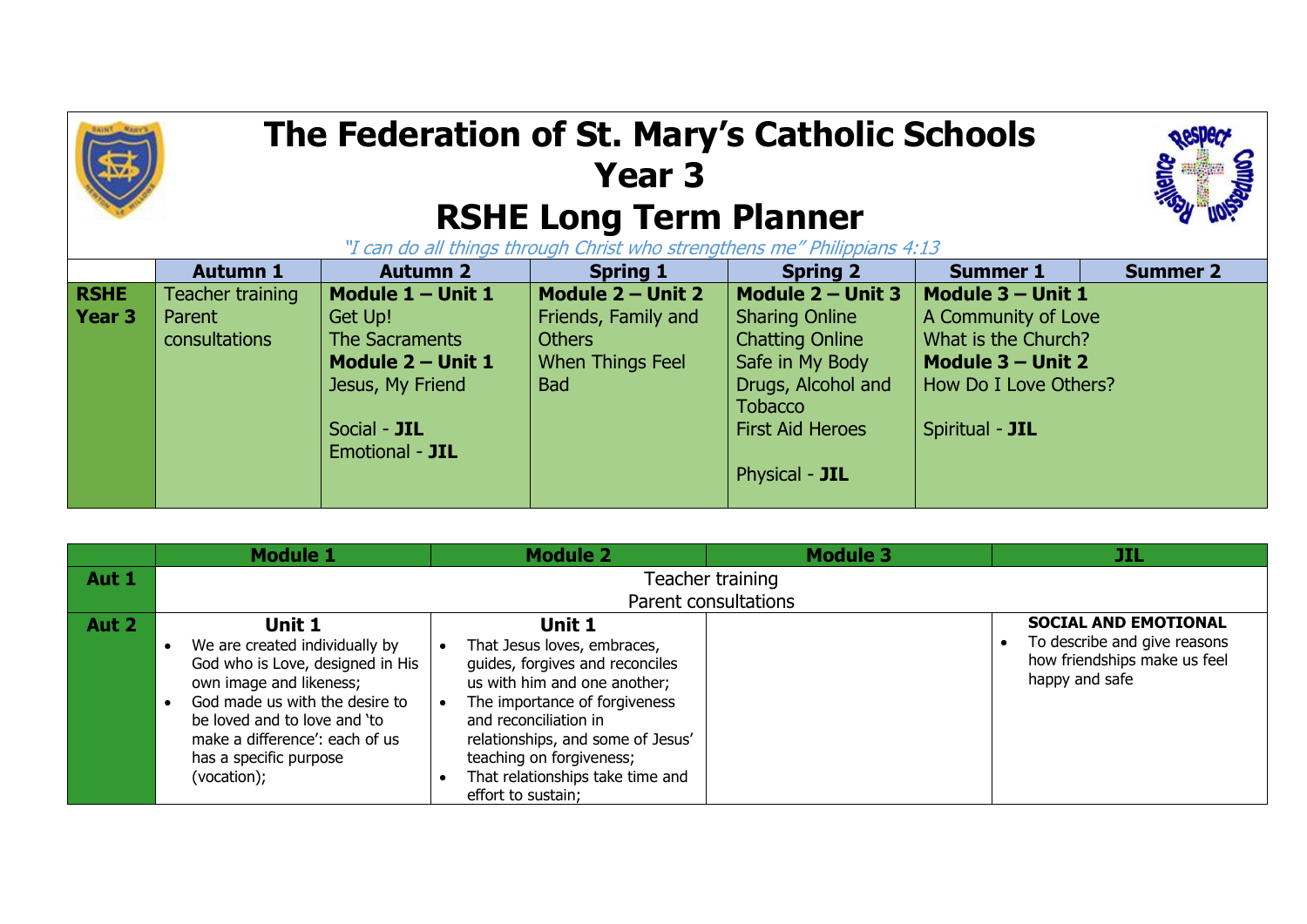

## **The Federation of St. Mary's Catholic Schools Year 3 RSHE Long Term Planner**



"I can do all things through Christ who strengthens me" Philippians 4:13

|               | <b>Autumn 1</b>  | <b>Autumn 2</b>   | <b>Spring 1</b>         | <b>Spring 2</b>         | <b>Summer 1</b>       | <b>Summer 2</b> |
|---------------|------------------|-------------------|-------------------------|-------------------------|-----------------------|-----------------|
| <b>RSHE</b>   | Teacher training | Module 1 - Unit 1 | Module 2 - Unit 2       | Module $2 -$ Unit 3     | Module 3 - Unit 1     |                 |
| <b>Year 3</b> | Parent           | Get Up!           | Friends, Family and     | <b>Sharing Online</b>   | A Community of Love   |                 |
|               | consultations    | The Sacraments    | <b>Others</b>           | <b>Chatting Online</b>  | What is the Church?   |                 |
|               |                  | Module 2 - Unit 1 | <b>When Things Feel</b> | Safe in My Body         | Module $3 -$ Unit 2   |                 |
|               |                  | Jesus, My Friend  | <b>Bad</b>              | Drugs, Alcohol and      | How Do I Love Others? |                 |
|               |                  |                   |                         | <b>Tobacco</b>          |                       |                 |
|               |                  | Social - JIL      |                         | <b>First Aid Heroes</b> | Spiritual - JIL       |                 |
|               |                  | Emotional - JIL   |                         |                         |                       |                 |
|               |                  |                   |                         | Physical - JIL          |                       |                 |
|               |                  |                   |                         |                         |                       |                 |

|       | <b>Module 1</b>                                                                                                                                                                                             | <b>Module 2</b>                                                                                                                                                                                                                     | <b>Module 3</b>      | JIL                                                                                                                        |
|-------|-------------------------------------------------------------------------------------------------------------------------------------------------------------------------------------------------------------|-------------------------------------------------------------------------------------------------------------------------------------------------------------------------------------------------------------------------------------|----------------------|----------------------------------------------------------------------------------------------------------------------------|
| Aut 1 |                                                                                                                                                                                                             |                                                                                                                                                                                                                                     | Teacher training     |                                                                                                                            |
|       |                                                                                                                                                                                                             |                                                                                                                                                                                                                                     | Parent consultations |                                                                                                                            |
| Aut 2 | Unit 1<br>We are created individually by<br>God who is Love, designed in His<br>own image and likeness;<br>God made us with the desire to<br>be loved and to love and 'to<br>make a difference': each of us | Unit 1<br>That Jesus loves, embraces,<br>guides, forgives and reconciles<br>us with him and one another;<br>The importance of forgiveness<br>and reconciliation in<br>relationships, and some of Jesus'<br>teaching on forgiveness; |                      | <b>SOCIAL AND EMOTIONAL</b><br>To describe and give reasons<br>$\bullet$<br>how friendships make us feel<br>happy and safe |
|       | has a specific purpose<br>(vocation);                                                                                                                                                                       | That relationships take time and<br>effort to sustain;                                                                                                                                                                              |                      |                                                                                                                            |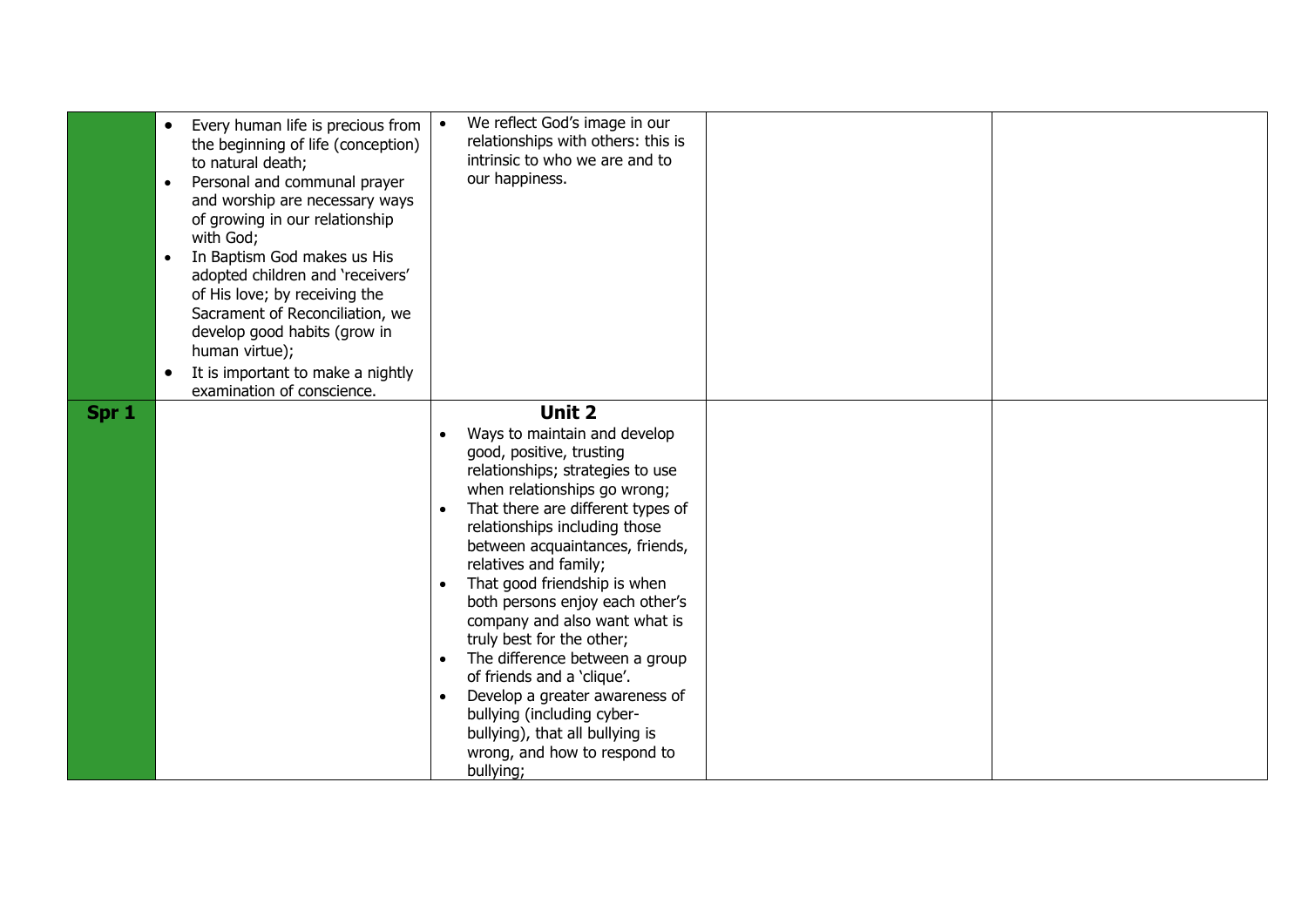|       | Every human life is precious from<br>$\bullet$<br>the beginning of life (conception)<br>to natural death;<br>Personal and communal prayer<br>$\bullet$<br>and worship are necessary ways<br>of growing in our relationship<br>with God;<br>In Baptism God makes us His<br>$\bullet$<br>adopted children and 'receivers'<br>of His love; by receiving the<br>Sacrament of Reconciliation, we<br>develop good habits (grow in<br>human virtue);<br>It is important to make a nightly<br>$\bullet$<br>examination of conscience. | We reflect God's image in our<br>relationships with others: this is<br>intrinsic to who we are and to<br>our happiness.                                                                                                                                                                                                                                                                                                                                                                                                                                                                                                   |
|-------|-------------------------------------------------------------------------------------------------------------------------------------------------------------------------------------------------------------------------------------------------------------------------------------------------------------------------------------------------------------------------------------------------------------------------------------------------------------------------------------------------------------------------------|---------------------------------------------------------------------------------------------------------------------------------------------------------------------------------------------------------------------------------------------------------------------------------------------------------------------------------------------------------------------------------------------------------------------------------------------------------------------------------------------------------------------------------------------------------------------------------------------------------------------------|
| Spr 1 |                                                                                                                                                                                                                                                                                                                                                                                                                                                                                                                               | Unit 2<br>Ways to maintain and develop<br>good, positive, trusting<br>relationships; strategies to use<br>when relationships go wrong;<br>That there are different types of<br>relationships including those<br>between acquaintances, friends,<br>relatives and family;<br>That good friendship is when<br>both persons enjoy each other's<br>company and also want what is<br>truly best for the other;<br>The difference between a group<br>of friends and a 'clique'.<br>Develop a greater awareness of<br>bullying (including cyber-<br>bullying), that all bullying is<br>wrong, and how to respond to<br>bullying; |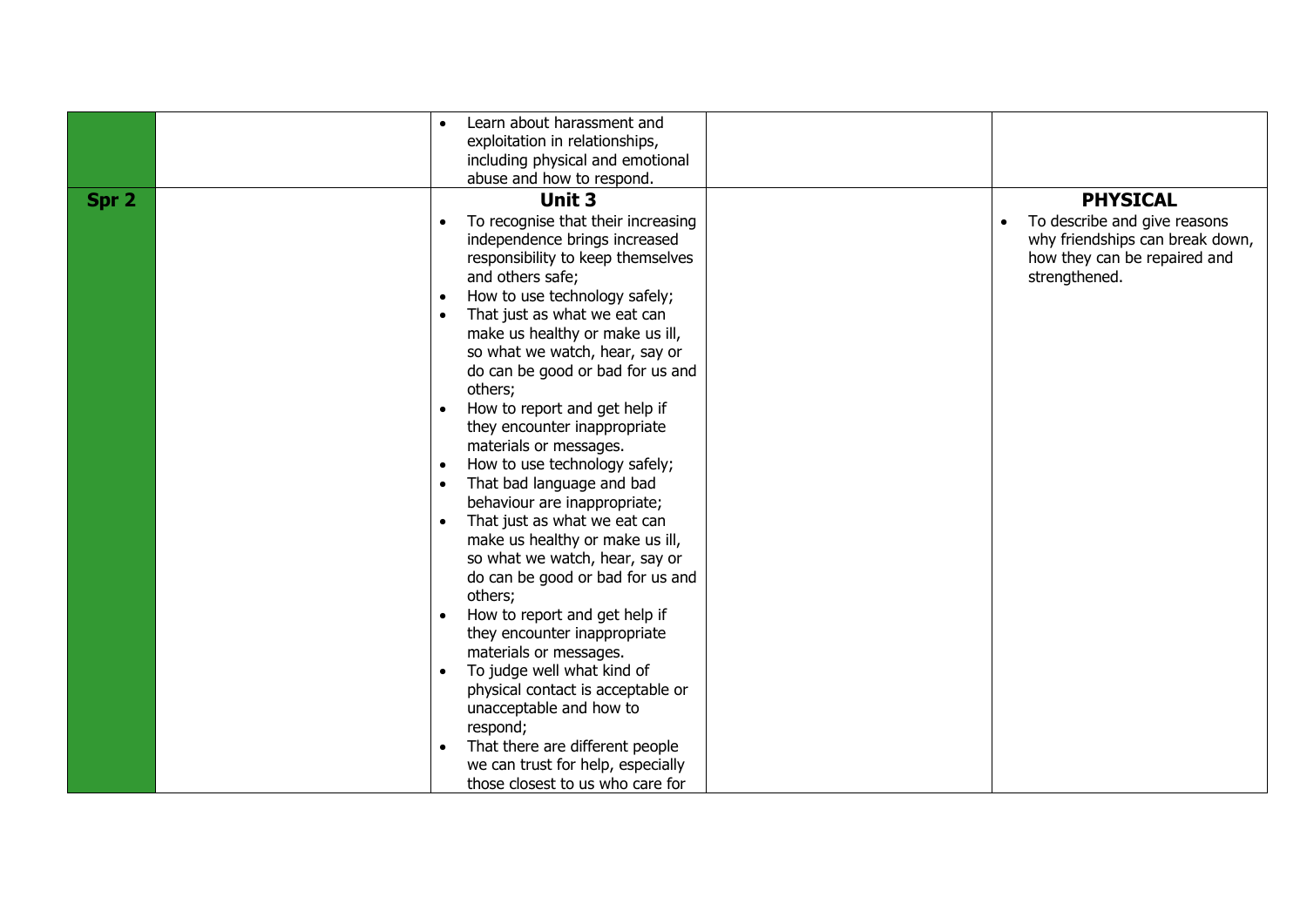|       | Learn about harassment and         |                                           |
|-------|------------------------------------|-------------------------------------------|
|       | exploitation in relationships,     |                                           |
|       | including physical and emotional   |                                           |
|       | abuse and how to respond.          |                                           |
| Spr 2 | <b>Unit 3</b>                      | <b>PHYSICAL</b>                           |
|       | To recognise that their increasing | To describe and give reasons<br>$\bullet$ |
|       | independence brings increased      | why friendships can break down,           |
|       | responsibility to keep themselves  | how they can be repaired and              |
|       | and others safe;                   | strengthened.                             |
|       | How to use technology safely;      |                                           |
|       | That just as what we eat can       |                                           |
|       | make us healthy or make us ill,    |                                           |
|       | so what we watch, hear, say or     |                                           |
|       | do can be good or bad for us and   |                                           |
|       | others;                            |                                           |
|       | How to report and get help if      |                                           |
|       | they encounter inappropriate       |                                           |
|       | materials or messages.             |                                           |
|       | How to use technology safely;      |                                           |
|       | That bad language and bad          |                                           |
|       | behaviour are inappropriate;       |                                           |
|       | That just as what we eat can       |                                           |
|       | make us healthy or make us ill,    |                                           |
|       | so what we watch, hear, say or     |                                           |
|       | do can be good or bad for us and   |                                           |
|       | others;                            |                                           |
|       | How to report and get help if      |                                           |
|       | they encounter inappropriate       |                                           |
|       | materials or messages.             |                                           |
|       | To judge well what kind of         |                                           |
|       | physical contact is acceptable or  |                                           |
|       | unacceptable and how to            |                                           |
|       | respond;                           |                                           |
|       | That there are different people    |                                           |
|       | we can trust for help, especially  |                                           |
|       | those closest to us who care for   |                                           |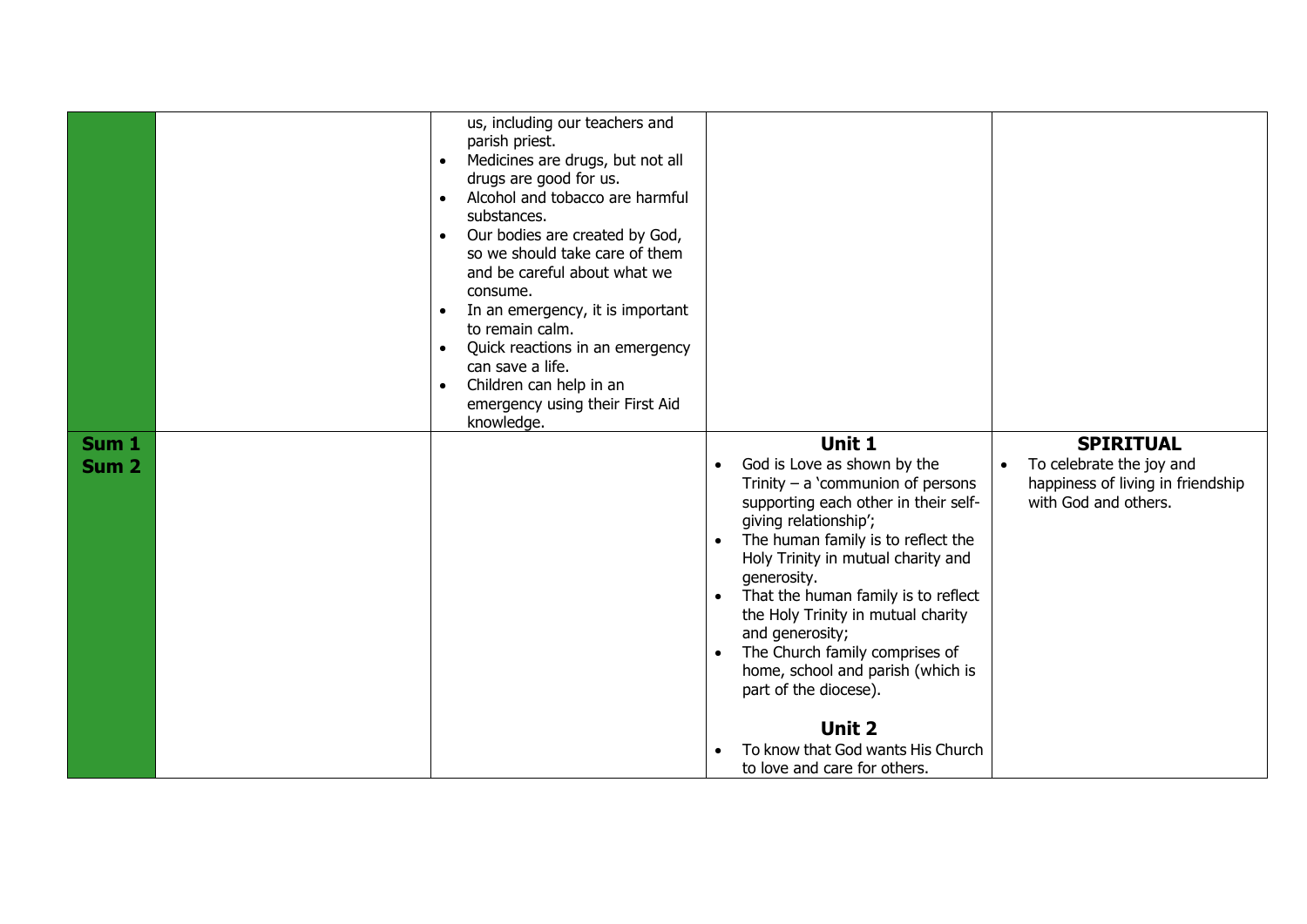| Sum 1<br>Sum <sub>2</sub> | us, including our teachers and<br>parish priest.<br>Medicines are drugs, but not all<br>$\bullet$<br>drugs are good for us.<br>Alcohol and tobacco are harmful<br>$\bullet$<br>substances.<br>Our bodies are created by God,<br>$\bullet$<br>so we should take care of them<br>and be careful about what we<br>consume.<br>In an emergency, it is important<br>$\bullet$<br>to remain calm.<br>Quick reactions in an emergency<br>$\bullet$<br>can save a life.<br>Children can help in an<br>$\bullet$<br>emergency using their First Aid<br>knowledge. | Unit 1<br>God is Love as shown by the<br>$\bullet$<br>Trinity $-$ a 'communion of persons<br>supporting each other in their self-<br>giving relationship';<br>The human family is to reflect the<br>$\bullet$<br>Holy Trinity in mutual charity and<br>generosity.<br>That the human family is to reflect<br>$\bullet$<br>the Holy Trinity in mutual charity<br>and generosity; | <b>SPIRITUAL</b><br>To celebrate the joy and<br>$\bullet$<br>happiness of living in friendship<br>with God and others. |
|---------------------------|----------------------------------------------------------------------------------------------------------------------------------------------------------------------------------------------------------------------------------------------------------------------------------------------------------------------------------------------------------------------------------------------------------------------------------------------------------------------------------------------------------------------------------------------------------|---------------------------------------------------------------------------------------------------------------------------------------------------------------------------------------------------------------------------------------------------------------------------------------------------------------------------------------------------------------------------------|------------------------------------------------------------------------------------------------------------------------|
|                           |                                                                                                                                                                                                                                                                                                                                                                                                                                                                                                                                                          | The Church family comprises of<br>$\bullet$                                                                                                                                                                                                                                                                                                                                     |                                                                                                                        |
|                           |                                                                                                                                                                                                                                                                                                                                                                                                                                                                                                                                                          |                                                                                                                                                                                                                                                                                                                                                                                 |                                                                                                                        |
|                           |                                                                                                                                                                                                                                                                                                                                                                                                                                                                                                                                                          | home, school and parish (which is                                                                                                                                                                                                                                                                                                                                               |                                                                                                                        |
|                           |                                                                                                                                                                                                                                                                                                                                                                                                                                                                                                                                                          | part of the diocese).                                                                                                                                                                                                                                                                                                                                                           |                                                                                                                        |
|                           |                                                                                                                                                                                                                                                                                                                                                                                                                                                                                                                                                          |                                                                                                                                                                                                                                                                                                                                                                                 |                                                                                                                        |
|                           |                                                                                                                                                                                                                                                                                                                                                                                                                                                                                                                                                          | <b>Unit 2</b>                                                                                                                                                                                                                                                                                                                                                                   |                                                                                                                        |
|                           |                                                                                                                                                                                                                                                                                                                                                                                                                                                                                                                                                          | To know that God wants His Church                                                                                                                                                                                                                                                                                                                                               |                                                                                                                        |